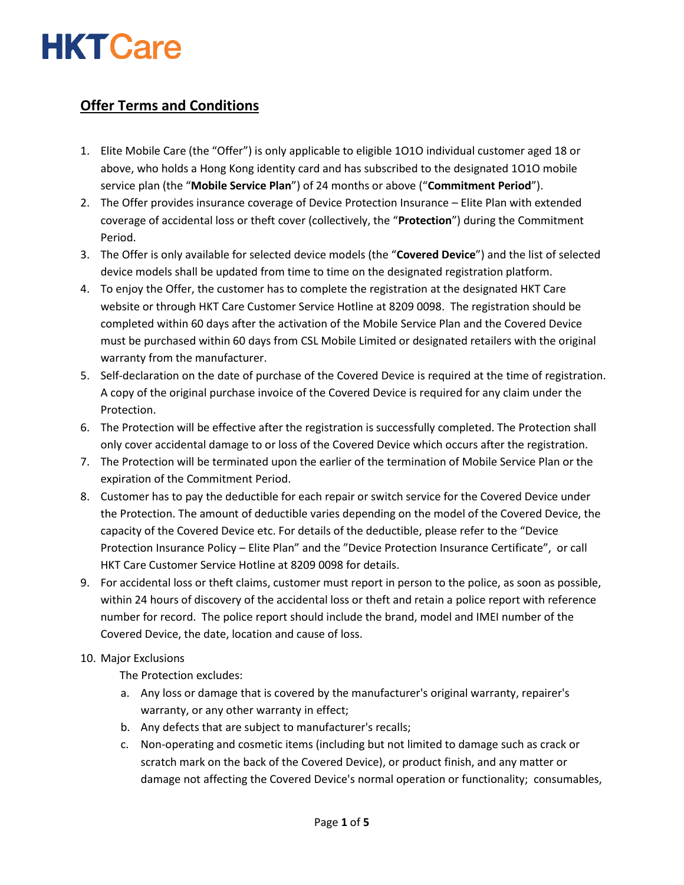# **HKT Care**

## **Offer Terms and Conditions**

- 1. Elite Mobile Care (the "Offer") is only applicable to eligible 1O1O individual customer aged 18 or above, who holds a Hong Kong identity card and has subscribed to the designated 1O1O mobile service plan (the "**Mobile Service Plan**") of 24 months or above ("**Commitment Period**").
- 2. The Offer provides insurance coverage of Device Protection Insurance Elite Plan with extended coverage of accidental loss or theft cover (collectively, the "**Protection**") during the Commitment Period.
- 3. The Offer is only available for selected device models (the "**Covered Device**") and the list of selected device models shall be updated from time to time on the designated registration platform.
- 4. To enjoy the Offer, the customer has to complete the registration at the designated HKT Care website or through HKT Care Customer Service Hotline at 8209 0098. The registration should be completed within 60 days after the activation of the Mobile Service Plan and the Covered Device must be purchased within 60 days from CSL Mobile Limited or designated retailers with the original warranty from the manufacturer.
- 5. Self-declaration on the date of purchase of the Covered Device is required at the time of registration. A copy of the original purchase invoice of the Covered Device is required for any claim under the Protection.
- 6. The Protection will be effective after the registration is successfully completed. The Protection shall only cover accidental damage to or loss of the Covered Device which occurs after the registration.
- 7. The Protection will be terminated upon the earlier of the termination of Mobile Service Plan or the expiration of the Commitment Period.
- 8. Customer has to pay the deductible for each repair or switch service for the Covered Device under the Protection. The amount of deductible varies depending on the model of the Covered Device, the capacity of the Covered Device etc. For details of the deductible, please refer to the "Device Protection Insurance Policy – Elite Plan" and the "Device Protection Insurance Certificate", or call HKT Care Customer Service Hotline at 8209 0098 for details.
- 9. For accidental loss or theft claims, customer must report in person to the police, as soon as possible, within 24 hours of discovery of the accidental loss or theft and retain a police report with reference number for record. The police report should include the brand, model and IMEI number of the Covered Device, the date, location and cause of loss.

#### 10. Major Exclusions

The Protection excludes:

- a. Any loss or damage that is covered by the manufacturer's original warranty, repairer's warranty, or any other warranty in effect;
- b. Any defects that are subject to manufacturer's recalls;
- c. Non-operating and cosmetic items (including but not limited to damage such as crack or scratch mark on the back of the Covered Device), or product finish, and any matter or damage not affecting the Covered Device's normal operation or functionality; consumables,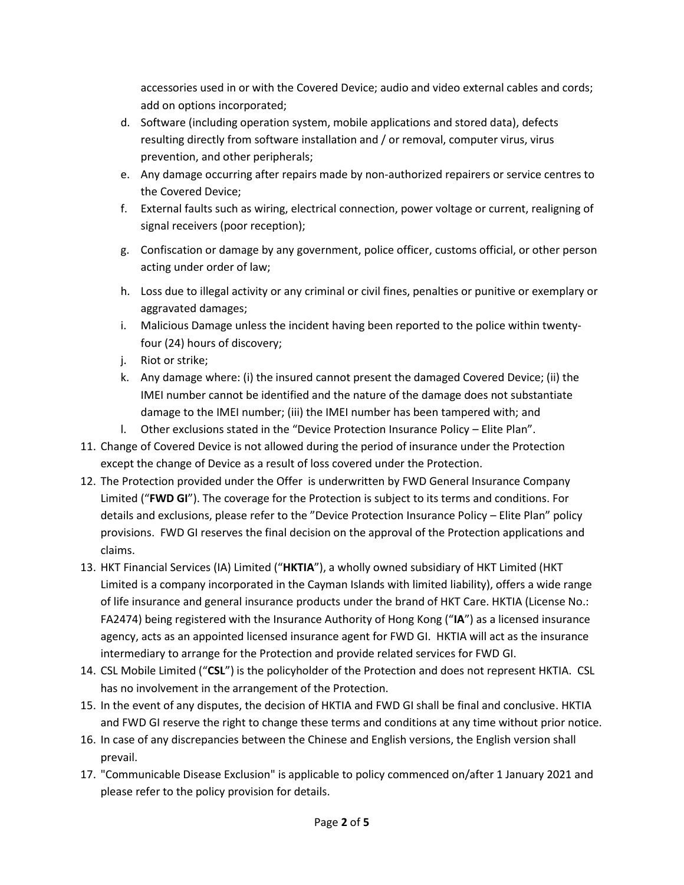accessories used in or with the Covered Device; audio and video external cables and cords; add on options incorporated;

- d. Software (including operation system, mobile applications and stored data), defects resulting directly from software installation and / or removal, computer virus, virus prevention, and other peripherals;
- e. Any damage occurring after repairs made by non-authorized repairers or service centres to the Covered Device;
- f. External faults such as wiring, electrical connection, power voltage or current, realigning of signal receivers (poor reception);
- g. Confiscation or damage by any government, police officer, customs official, or other person acting under order of law;
- h. Loss due to illegal activity or any criminal or civil fines, penalties or punitive or exemplary or aggravated damages;
- i. Malicious Damage unless the incident having been reported to the police within twentyfour (24) hours of discovery;
- j. Riot or strike;
- k. Any damage where: (i) the insured cannot present the damaged Covered Device; (ii) the IMEI number cannot be identified and the nature of the damage does not substantiate damage to the IMEI number; (iii) the IMEI number has been tampered with; and
- l. Other exclusions stated in the "Device Protection Insurance Policy Elite Plan".
- 11. Change of Covered Device is not allowed during the period of insurance under the Protection except the change of Device as a result of loss covered under the Protection.
- 12. The Protection provided under the Offer is underwritten by FWD General Insurance Company Limited ("**FWD GI**"). The coverage for the Protection is subject to its terms and conditions. For details and exclusions, please refer to the "Device Protection Insurance Policy – Elite Plan" policy provisions. FWD GI reserves the final decision on the approval of the Protection applications and claims.
- 13. HKT Financial Services (IA) Limited ("**HKTIA**"), a wholly owned subsidiary of HKT Limited (HKT Limited is a company incorporated in the Cayman Islands with limited liability), offers a wide range of life insurance and general insurance products under the brand of HKT Care. HKTIA (License No.: FA2474) being registered with the Insurance Authority of Hong Kong ("IA") as a licensed insurance agency, acts as an appointed licensed insurance agent for FWD GI. HKTIA will act as the insurance intermediary to arrange for the Protection and provide related services for FWD GI.
- 14. CSL Mobile Limited ("**CSL**") is the policyholder of the Protection and does not represent HKTIA. CSL has no involvement in the arrangement of the Protection.
- 15. In the event of any disputes, the decision of HKTIA and FWD GI shall be final and conclusive. HKTIA and FWD GI reserve the right to change these terms and conditions at any time without prior notice.
- 16. In case of any discrepancies between the Chinese and English versions, the English version shall prevail.
- 17. "Communicable Disease Exclusion" is applicable to policy commenced on/after 1 January 2021 and please refer to the policy provision for details.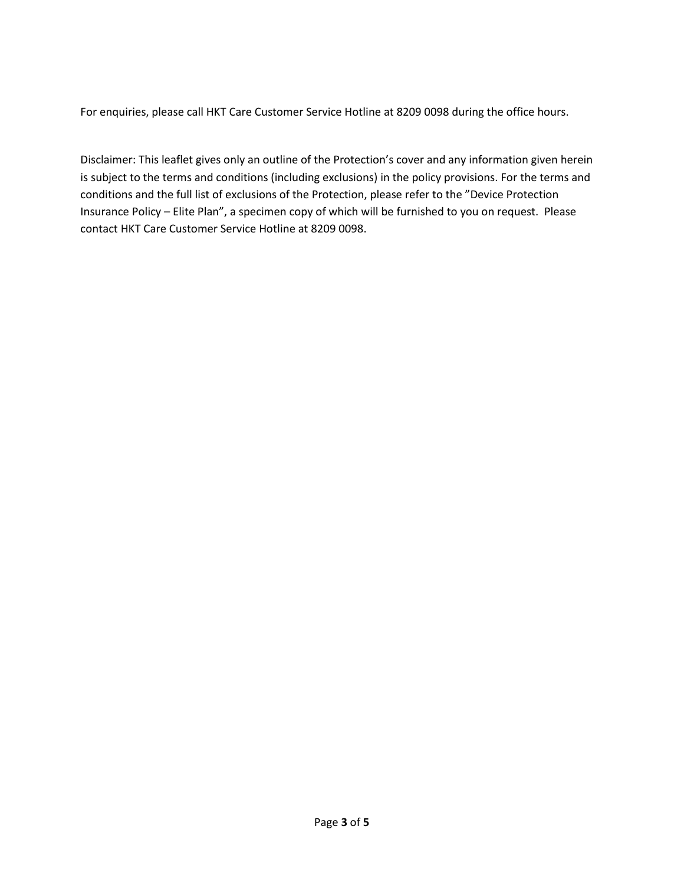For enquiries, please call HKT Care Customer Service Hotline at 8209 0098 during the office hours.

Disclaimer: This leaflet gives only an outline of the Protection's cover and any information given herein is subject to the terms and conditions (including exclusions) in the policy provisions. For the terms and conditions and the full list of exclusions of the Protection, please refer to the "Device Protection Insurance Policy – Elite Plan", a specimen copy of which will be furnished to you on request. Please contact HKT Care Customer Service Hotline at 8209 0098.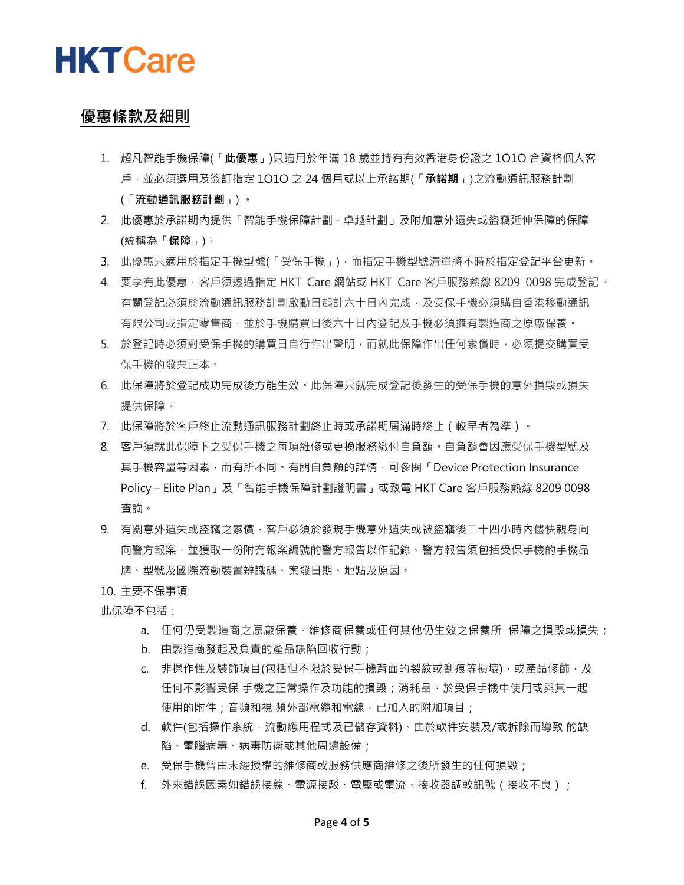

### **優惠條款及細則**

- 1. 超凡智能手機保障(「**此優惠**」)只適用於年滿 18 歲並持有有效香港身份證之 1O1O 合資格個人客 戶,並必須選用及簽訂指定 1O1O 之 24 個月或以上承諾期(「**承諾期**」)之流動通訊服務計劃 (「**流動通訊服務計劃**」) 。
- 2. 此優惠於承諾期內提供「智能手機保障計劃 卓越計劃」及附加意外遺失或盜竊延伸保障的保障 (統稱為「**保障**」)。
- 3. 此優惠只適用於指定手機型號(「受保手機」),而指定手機型號清單將不時於指定登記平台更新。
- 4. 要享有此優惠,客戶須透過指定 HKT Care 網站或 HKT Care 客戶服務熱線 8209 0098 完成登記。 有關登記必須於流動通訊服務計劃啟動日起計六十日內完成,及受保手機必須購自香港移動通訊 有限公司或指定零售商,並於手機購買日後六十日內登記及手機必須擁有製造商之原廠保養。
- 5. 於登記時必須對受保手機的購買日自行作出聲明,而就此保障作出任何索償時,必須提交購買受 保手機的發票正本。
- 6. 此保障將於登記成功完成後方能生效。此保障只就完成登記後發生的受保手機的意外損毀或損失 提供保障。
- 7. 此保障將於客戶終止流動通訊服務計劃終止時或承諾期屆滿時終止(較早者為準)。
- 8. 客戶須就此保障下之受保手機之每項維修或更換服務繳付自負額。自負額會因應受保手機型號及 其手機容量等因素,而有所不同。有關自負額的詳情,可參閱「Device Protection Insurance Policy – Elite Plan」及「智能手機保障計劃證明書」或致電 HKT Care 客戶服務熱線 8209 0098 查詢。
- 9. 有關意外遺失或盜竊之家償,客戶必須於發現手機意外遺失或被盜竊後二十四小時內儘快親身向 向警方報案,並獲取一份附有報案編號的警方報告以作記錄。警方報告須包括受保手機的手機品 牌、型號及國際流動裝置辨識碼、案發日期、地點及原因。

#### 10. 主要不保事項

此保障不包括:

- a. 任何仍受製造商之原廠保養、維修商保養或任何其他仍生效之保養所 保障之損毁或損失;
- b. 由製造商發起及負責的產品缺陷回收行動;
- c. 非操作性及裝飾項目(包括但不限於受保手機背面的裂紋或刮痕等損壞), 或產品修飾, 及 任何不影響受保 手機之正常操作及功能的損毀;消耗品,於受保手機中使用或與其一起 使用的附件;音頻和視 頻外部電纜和電線,已加入的附加項目;
- d. 軟件(包括操作系統,流動應用程式及已儲存資料)、由於軟件安裝及/或拆除而導致 的缺 陷、電腦病毒、病毒防衛或其他周邊設備;
- e. 受保手機曾由未經授權的維修商或服務供應商維修之後所發生的任何損毀;
- f. 外來錯誤因素如錯誤接線、電源接駁、電壓或電流、接收器調較訊號(接收不良);